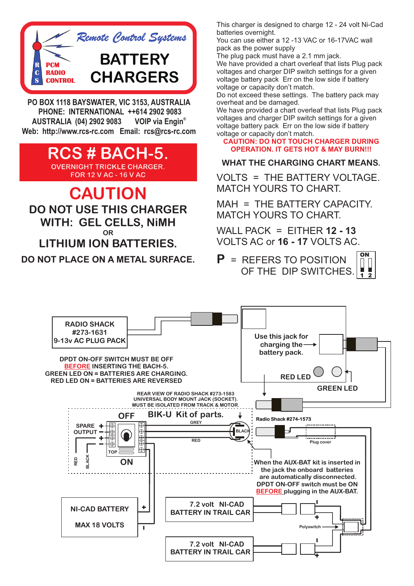

**PO BOX 1118 BAYSWATER, VIC 3153, AUSTRALIA PHONE: INTERNATIONAL ++614 2902 9083 VOIP** via Engin<sup>®</sup> **AUSTRALIA (04) 2902 9083 Web: http://www.rcs-rc.com Email: rcs@rcs-rc.com**

> **RCS # BACH-5. OVERNIGHT TRICKLE CHARGER. FOR 12 V AC - 16 V AC**

# **CAUTION**

**DO NOT USE THIS CHARGER WITH: GEL CELLS, NiMH OR LITHIUM ION BATTERIES.**

**DO NOT PLACE ON A METAL SURFACE.**

This charger is designed to charge 12 - 24 volt Ni-Cad batteries overnight.

You can use either a 12 -13 VAC or 16-17VAC wall pack as the power supply

The plug pack must have a 2.1 mm jack.

We have provided a chart overleaf that lists Plug pack voltages and charger DIP switch settings for a given voltage battery pack Err on the low side if battery voltage or capacity don't match.

Do not exceed these settings. The battery pack may overheat and be damaged.

We have provided a chart overleaf that lists Plug pack voltages and charger DIP switch settings for a given voltage battery pack Err on the low side if battery voltage or capacity don't match.

**CAUTION: DO NOT TOUCH CHARGER DURING OPERATION. IT GETS HOT & MAY BURN!!!**

### **WHAT THE CHARGING CHART MEANS.**

VOLTS = THE BATTERY VOLTAGE. MATCH YOURS TO CHART.

MAH = THE BATTERY CAPACITY. MATCH YOURS TO CHART.

WALL PACK = EITHER **12 - 13**  VOLTS AC or **16 - 17** VOLTS AC.

**P** = REFERS TO POSITION OF THE DIP SWITCHES. **ON 1 2**